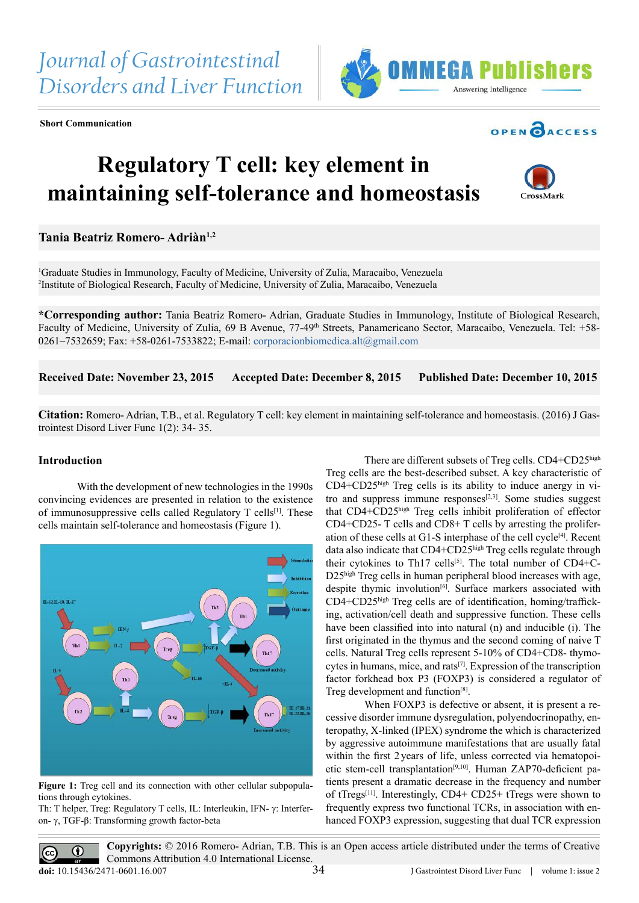**Short Communication**





## **Regulatory T cell: key element in maintaining self-tolerance and homeostasis**



## **Tania Beatriz Romero- Adriàn1,2**

1 Graduate Studies in Immunology, Faculty of Medicine, University of Zulia, Maracaibo, Venezuela 2 Institute of Biological Research, Faculty of Medicine, University of Zulia, Maracaibo, Venezuela

**\*Corresponding author:** Tania Beatriz Romero- Adrian, Graduate Studies in Immunology, Institute of Biological Research, Faculty of Medicine, University of Zulia, 69 B Avenue, 77-49<sup>th</sup> Streets, Panamericano Sector, Maracaibo, Venezuela. Tel: +58-0261–7532659; Fax:  $+58-0261-7533822$ ; E-mail: corporacionbiomedica.alt $@$ gmail.com

**Received Date: November 23, 2015 Accepted Date: December 8, 2015 Published Date: December 10, 2015**

**Citation:** Romero- Adrian, T.B., et al. Regulatory T cell: key element in maintaining self-tolerance and homeostasis. (2016) J Gastrointest Disord Liver Func 1(2): 34- 35.

## **Introduction**

With the development of new technologies in the 1990s convincing evidences are presented in relation to the existence of immunosuppressive cells called Regulatory T cells[1]. These cells maintain self-tolerance and homeostasis (Figure 1).



Figure 1: Treg cell and its connection with other cellular subpopulations through cytokines.

Th: T helper, Treg: Regulatory T cells, IL: Interleukin, IFN- γ: Interferon- γ, TGF-β: Transforming growth factor-beta

There are different subsets of Treg cells. CD4+CD25high Treg cells are the best-described subset. A key characteristic of CD4+CD25high Treg cells is its ability to induce anergy in vitro and suppress immune responses $[2,3]$ . Some studies suggest that CD4+CD25high Treg cells inhibit proliferation of effector CD4+CD25- T cells and CD8+ T cells by arresting the proliferation of these cells at G1-S interphase of the cell cycle<sup>[4]</sup>. Recent data also indicate that CD4+CD25high Treg cells regulate through their cytokines to Th17 cells<sup>[5]</sup>. The total number of CD4+C-D25high Treg cells in human peripheral blood increases with age, despite thymic involution<sup>[6]</sup>. Surface markers associated with CD4+CD25high Treg cells are of identification, homing/trafficking, activation/cell death and suppressive function. These cells have been classified into into natural (n) and inducible (i). The first originated in the thymus and the second coming of naive T cells. Natural Treg cells represent 5-10% of CD4+CD8- thymocytes in humans, mice, and rats<sup>[7]</sup>. Expression of the transcription factor forkhead box P3 (FOXP3) is considered a regulator of Treg development and function<sup>[8]</sup>.

When FOXP3 is defective or absent, it is present a recessive disorder immune dysregulation, polyendocrinopathy, enteropathy, X-linked (IPEX) syndrome the which is characterized by aggressive autoimmune manifestations that are usually fatal within the first 2years of life, unless corrected via hematopoietic stem-cell transplantation[9,10]. Human ZAP70-deficient patients present a dramatic decrease in the frequency and number of tTregs[11]. Interestingly, CD4+ CD25+ tTregs were shown to frequently express two functional TCRs, in association with enhanced FOXP3 expression, suggesting that dual TCR expression

**Copyrights:** © 2016 Romero- Adrian, T.B. This is an Open access article distributed under the terms of Creative Commons Attribution 4.0 International License. 34 **doi:** [10.15436/2471-0601.16.](http://www.dx.doi.org/10.15436/2471-0601.16.007)007